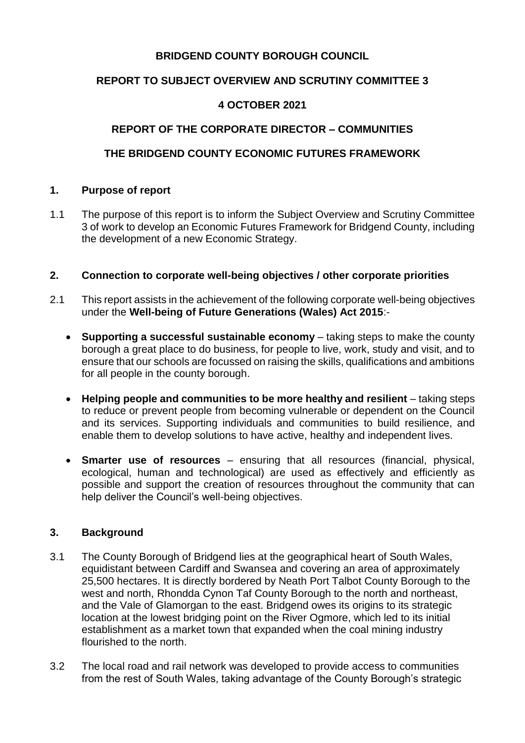## **BRIDGEND COUNTY BOROUGH COUNCIL**

## **REPORT TO SUBJECT OVERVIEW AND SCRUTINY COMMITTEE 3**

### **4 OCTOBER 2021**

# **REPORT OF THE CORPORATE DIRECTOR – COMMUNITIES**

# **THE BRIDGEND COUNTY ECONOMIC FUTURES FRAMEWORK**

#### **1. Purpose of report**

1.1 The purpose of this report is to inform the Subject Overview and Scrutiny Committee 3 of work to develop an Economic Futures Framework for Bridgend County, including the development of a new Economic Strategy.

#### **2. Connection to corporate well-being objectives / other corporate priorities**

- 2.1 This report assists in the achievement of the following corporate well-being objectives under the **Well-being of Future Generations (Wales) Act 2015**:-
	- **Supporting a successful sustainable economy**  taking steps to make the county borough a great place to do business, for people to live, work, study and visit, and to ensure that our schools are focussed on raising the skills, qualifications and ambitions for all people in the county borough.
	- **Helping people and communities to be more healthy and resilient** taking steps to reduce or prevent people from becoming vulnerable or dependent on the Council and its services. Supporting individuals and communities to build resilience, and enable them to develop solutions to have active, healthy and independent lives.
	- **Smarter use of resources**  ensuring that all resources (financial, physical, ecological, human and technological) are used as effectively and efficiently as possible and support the creation of resources throughout the community that can help deliver the Council's well-being objectives.

### **3. Background**

- 3.1 The County Borough of Bridgend lies at the geographical heart of South Wales, equidistant between Cardiff and Swansea and covering an area of approximately 25,500 hectares. It is directly bordered by Neath Port Talbot County Borough to the west and north, Rhondda Cynon Taf County Borough to the north and northeast, and the Vale of Glamorgan to the east. Bridgend owes its origins to its strategic location at the lowest bridging point on the River Ogmore, which led to its initial establishment as a market town that expanded when the coal mining industry flourished to the north.
- 3.2 The local road and rail network was developed to provide access to communities from the rest of South Wales, taking advantage of the County Borough's strategic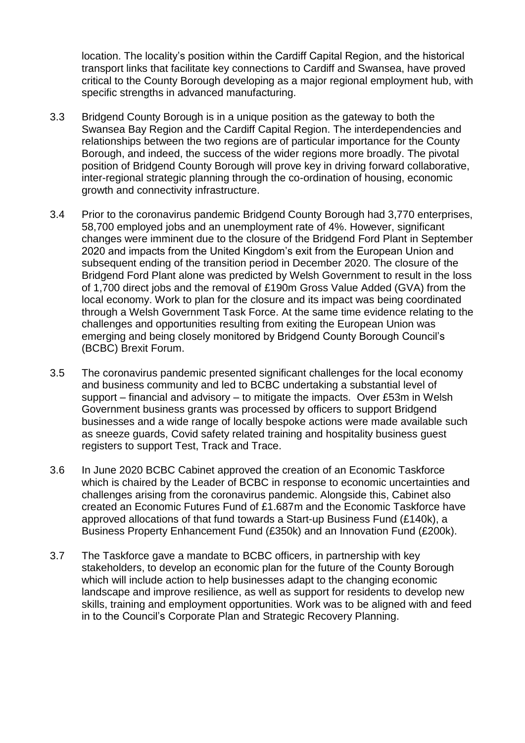location. The locality's position within the Cardiff Capital Region, and the historical transport links that facilitate key connections to Cardiff and Swansea, have proved critical to the County Borough developing as a major regional employment hub, with specific strengths in advanced manufacturing.

- 3.3 Bridgend County Borough is in a unique position as the gateway to both the Swansea Bay Region and the Cardiff Capital Region. The interdependencies and relationships between the two regions are of particular importance for the County Borough, and indeed, the success of the wider regions more broadly. The pivotal position of Bridgend County Borough will prove key in driving forward collaborative, inter-regional strategic planning through the co-ordination of housing, economic growth and connectivity infrastructure.
- 3.4 Prior to the coronavirus pandemic Bridgend County Borough had 3,770 enterprises, 58,700 employed jobs and an unemployment rate of 4%. However, significant changes were imminent due to the closure of the Bridgend Ford Plant in September 2020 and impacts from the United Kingdom's exit from the European Union and subsequent ending of the transition period in December 2020. The closure of the Bridgend Ford Plant alone was predicted by Welsh Government to result in the loss of 1,700 direct jobs and the removal of £190m Gross Value Added (GVA) from the local economy. Work to plan for the closure and its impact was being coordinated through a Welsh Government Task Force. At the same time evidence relating to the challenges and opportunities resulting from exiting the European Union was emerging and being closely monitored by Bridgend County Borough Council's (BCBC) Brexit Forum.
- 3.5 The coronavirus pandemic presented significant challenges for the local economy and business community and led to BCBC undertaking a substantial level of support – financial and advisory – to mitigate the impacts. Over £53m in Welsh Government business grants was processed by officers to support Bridgend businesses and a wide range of locally bespoke actions were made available such as sneeze guards, Covid safety related training and hospitality business guest registers to support Test, Track and Trace.
- 3.6 In June 2020 BCBC Cabinet approved the creation of an Economic Taskforce which is chaired by the Leader of BCBC in response to economic uncertainties and challenges arising from the coronavirus pandemic. Alongside this, Cabinet also created an Economic Futures Fund of £1.687m and the Economic Taskforce have approved allocations of that fund towards a Start-up Business Fund (£140k), a Business Property Enhancement Fund (£350k) and an Innovation Fund (£200k).
- 3.7 The Taskforce gave a mandate to BCBC officers, in partnership with key stakeholders, to develop an economic plan for the future of the County Borough which will include action to help businesses adapt to the changing economic landscape and improve resilience, as well as support for residents to develop new skills, training and employment opportunities. Work was to be aligned with and feed in to the Council's Corporate Plan and Strategic Recovery Planning.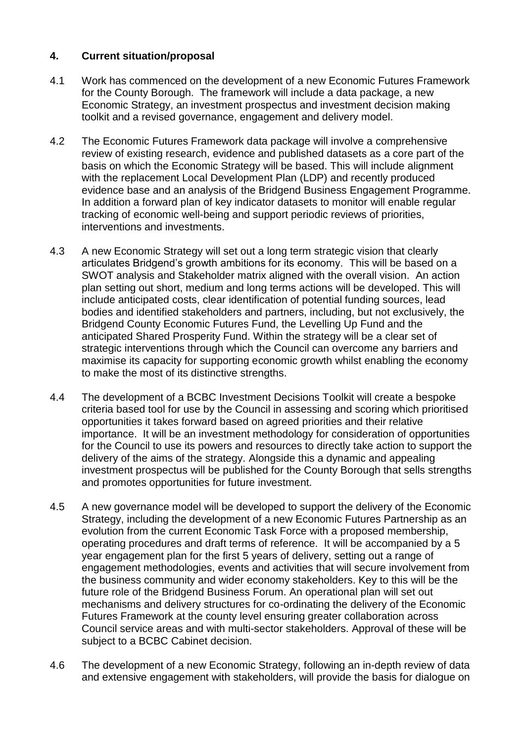## **4. Current situation/proposal**

- 4.1 Work has commenced on the development of a new Economic Futures Framework for the County Borough. The framework will include a data package, a new Economic Strategy, an investment prospectus and investment decision making toolkit and a revised governance, engagement and delivery model.
- 4.2 The Economic Futures Framework data package will involve a comprehensive review of existing research, evidence and published datasets as a core part of the basis on which the Economic Strategy will be based. This will include alignment with the replacement Local Development Plan (LDP) and recently produced evidence base and an analysis of the Bridgend Business Engagement Programme. In addition a forward plan of key indicator datasets to monitor will enable regular tracking of economic well-being and support periodic reviews of priorities, interventions and investments.
- 4.3 A new Economic Strategy will set out a long term strategic vision that clearly articulates Bridgend's growth ambitions for its economy. This will be based on a SWOT analysis and Stakeholder matrix aligned with the overall vision. An action plan setting out short, medium and long terms actions will be developed. This will include anticipated costs, clear identification of potential funding sources, lead bodies and identified stakeholders and partners, including, but not exclusively, the Bridgend County Economic Futures Fund, the Levelling Up Fund and the anticipated Shared Prosperity Fund. Within the strategy will be a clear set of strategic interventions through which the Council can overcome any barriers and maximise its capacity for supporting economic growth whilst enabling the economy to make the most of its distinctive strengths.
- 4.4 The development of a BCBC Investment Decisions Toolkit will create a bespoke criteria based tool for use by the Council in assessing and scoring which prioritised opportunities it takes forward based on agreed priorities and their relative importance. It will be an investment methodology for consideration of opportunities for the Council to use its powers and resources to directly take action to support the delivery of the aims of the strategy. Alongside this a dynamic and appealing investment prospectus will be published for the County Borough that sells strengths and promotes opportunities for future investment.
- 4.5 A new governance model will be developed to support the delivery of the Economic Strategy, including the development of a new Economic Futures Partnership as an evolution from the current Economic Task Force with a proposed membership, operating procedures and draft terms of reference. It will be accompanied by a 5 year engagement plan for the first 5 years of delivery, setting out a range of engagement methodologies, events and activities that will secure involvement from the business community and wider economy stakeholders. Key to this will be the future role of the Bridgend Business Forum. An operational plan will set out mechanisms and delivery structures for co-ordinating the delivery of the Economic Futures Framework at the county level ensuring greater collaboration across Council service areas and with multi-sector stakeholders. Approval of these will be subject to a BCBC Cabinet decision.
- 4.6 The development of a new Economic Strategy, following an in-depth review of data and extensive engagement with stakeholders, will provide the basis for dialogue on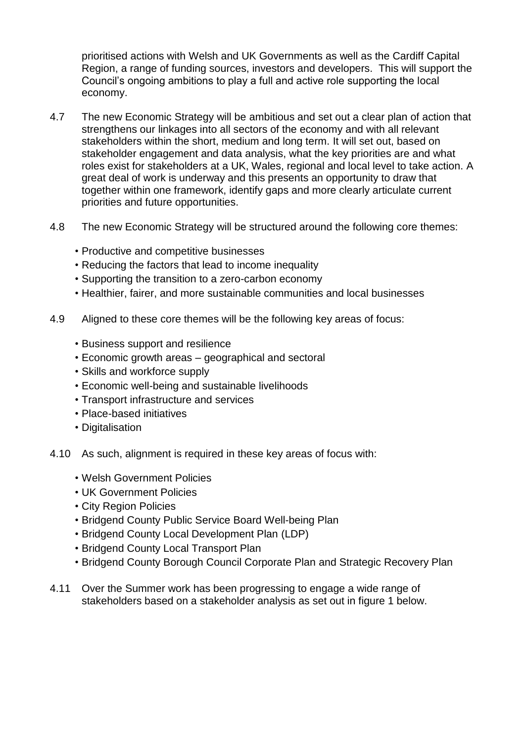prioritised actions with Welsh and UK Governments as well as the Cardiff Capital Region, a range of funding sources, investors and developers. This will support the Council's ongoing ambitions to play a full and active role supporting the local economy.

- 4.7 The new Economic Strategy will be ambitious and set out a clear plan of action that strengthens our linkages into all sectors of the economy and with all relevant stakeholders within the short, medium and long term. It will set out, based on stakeholder engagement and data analysis, what the key priorities are and what roles exist for stakeholders at a UK, Wales, regional and local level to take action. A great deal of work is underway and this presents an opportunity to draw that together within one framework, identify gaps and more clearly articulate current priorities and future opportunities.
- 4.8 The new Economic Strategy will be structured around the following core themes:
	- Productive and competitive businesses
	- Reducing the factors that lead to income inequality
	- Supporting the transition to a zero-carbon economy
	- Healthier, fairer, and more sustainable communities and local businesses
- 4.9 Aligned to these core themes will be the following key areas of focus:
	- Business support and resilience
	- Economic growth areas geographical and sectoral
	- Skills and workforce supply
	- Economic well-being and sustainable livelihoods
	- Transport infrastructure and services
	- Place-based initiatives
	- Digitalisation
- 4.10 As such, alignment is required in these key areas of focus with:
	- Welsh Government Policies
	- UK Government Policies
	- City Region Policies
	- Bridgend County Public Service Board Well-being Plan
	- Bridgend County Local Development Plan (LDP)
	- Bridgend County Local Transport Plan
	- Bridgend County Borough Council Corporate Plan and Strategic Recovery Plan
- 4.11 Over the Summer work has been progressing to engage a wide range of stakeholders based on a stakeholder analysis as set out in figure 1 below.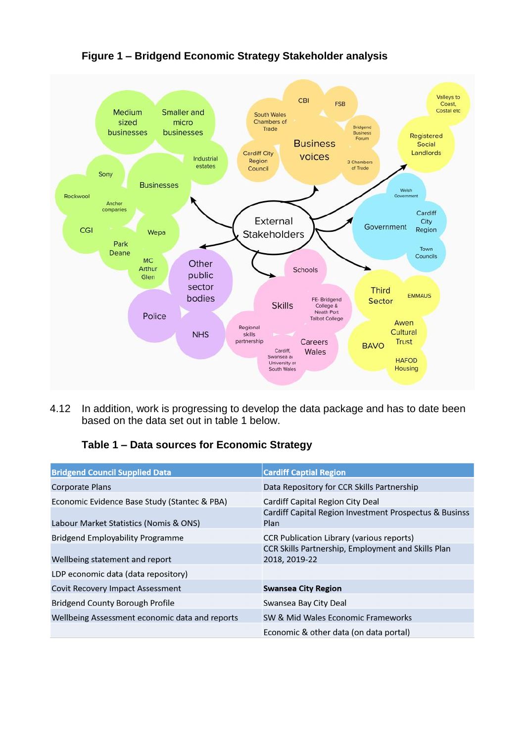

**Figure 1 – Bridgend Economic Strategy Stakeholder analysis**

4.12 In addition, work is progressing to develop the data package and has to date been based on the data set out in table 1 below.

### **Table 1 – Data sources for Economic Strategy**

| <b>Bridgend Council Supplied Data</b>                                                  | <b>Cardiff Captial Region</b>                                                                                           |
|----------------------------------------------------------------------------------------|-------------------------------------------------------------------------------------------------------------------------|
| Corporate Plans                                                                        | Data Repository for CCR Skills Partnership                                                                              |
| Economic Evidence Base Study (Stantec & PBA)<br>Labour Market Statistics (Nomis & ONS) | Cardiff Capital Region City Deal<br>Cardiff Capital Region Investment Prospectus & Businss<br>Plan                      |
| Bridgend Employability Programme<br>Wellbeing statement and report                     | <b>CCR Publication Library (various reports)</b><br>CCR Skills Partnership, Employment and Skills Plan<br>2018, 2019-22 |
| LDP economic data (data repository)                                                    |                                                                                                                         |
| Covit Recovery Impact Assessment                                                       | <b>Swansea City Region</b>                                                                                              |
| Bridgend County Borough Profile                                                        | Swansea Bay City Deal                                                                                                   |
| Wellbeing Assessment economic data and reports                                         | SW & Mid Wales Economic Frameworks                                                                                      |
|                                                                                        | Economic & other data (on data portal)                                                                                  |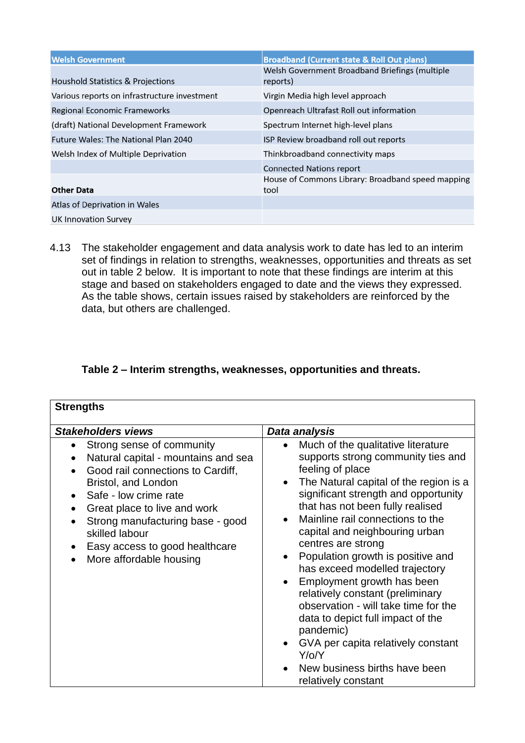| <b>Welsh Government</b>                      | <b>Broadband (Current state &amp; Roll Out plans)</b>      |
|----------------------------------------------|------------------------------------------------------------|
| Houshold Statistics & Projections            | Welsh Government Broadband Briefings (multiple<br>reports) |
| Various reports on infrastructure investment | Virgin Media high level approach                           |
| Regional Economic Frameworks                 | Openreach Ultrafast Roll out information                   |
| (draft) National Development Framework       | Spectrum Internet high-level plans                         |
| <b>Future Wales: The National Plan 2040</b>  | ISP Review broadband roll out reports                      |
| Welsh Index of Multiple Deprivation          | Thinkbroadband connectivity maps                           |
|                                              | <b>Connected Nations report</b>                            |
| <b>Other Data</b>                            | House of Commons Library: Broadband speed mapping<br>tool  |
| Atlas of Deprivation in Wales                |                                                            |
| UK Innovation Survey                         |                                                            |

4.13 The stakeholder engagement and data analysis work to date has led to an interim set of findings in relation to strengths, weaknesses, opportunities and threats as set out in table 2 below. It is important to note that these findings are interim at this stage and based on stakeholders engaged to date and the views they expressed. As the table shows, certain issues raised by stakeholders are reinforced by the data, but others are challenged.

## **Table 2 – Interim strengths, weaknesses, opportunities and threats.**

| <b>Strengths</b>                                                                                                                                                                                                                                                                                         |                                                                                                                                                                                                                                                                                                                                                                                                                                                                                                                                                                                                                                                                                                       |  |  |
|----------------------------------------------------------------------------------------------------------------------------------------------------------------------------------------------------------------------------------------------------------------------------------------------------------|-------------------------------------------------------------------------------------------------------------------------------------------------------------------------------------------------------------------------------------------------------------------------------------------------------------------------------------------------------------------------------------------------------------------------------------------------------------------------------------------------------------------------------------------------------------------------------------------------------------------------------------------------------------------------------------------------------|--|--|
| <b>Stakeholders views</b>                                                                                                                                                                                                                                                                                | Data analysis                                                                                                                                                                                                                                                                                                                                                                                                                                                                                                                                                                                                                                                                                         |  |  |
| Strong sense of community<br>Natural capital - mountains and sea<br>Good rail connections to Cardiff,<br>Bristol, and London<br>Safe - low crime rate<br>Great place to live and work<br>Strong manufacturing base - good<br>skilled labour<br>Easy access to good healthcare<br>More affordable housing | Much of the qualitative literature<br>$\bullet$<br>supports strong community ties and<br>feeling of place<br>The Natural capital of the region is a<br>$\bullet$<br>significant strength and opportunity<br>that has not been fully realised<br>Mainline rail connections to the<br>capital and neighbouring urban<br>centres are strong<br>Population growth is positive and<br>$\bullet$<br>has exceed modelled trajectory<br>Employment growth has been<br>relatively constant (preliminary<br>observation - will take time for the<br>data to depict full impact of the<br>pandemic)<br>GVA per capita relatively constant<br>$Y$ /o/ $Y$<br>New business births have been<br>relatively constant |  |  |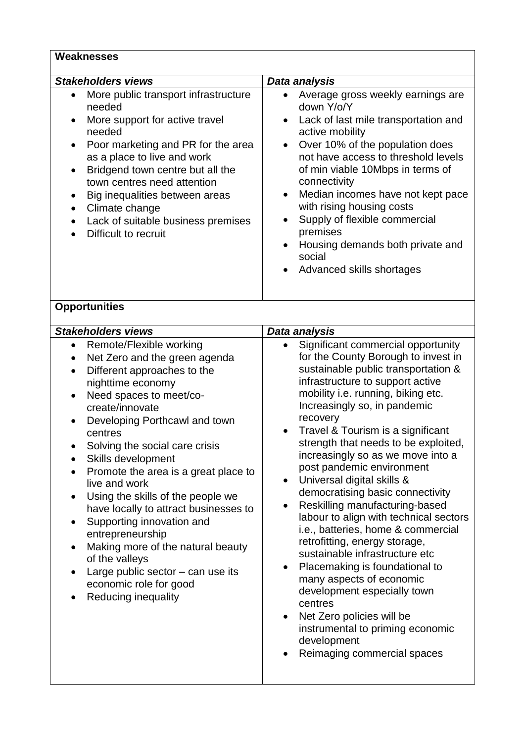#### **Weaknesses**

| <b>Stakeholders views</b>                                                                                                                                                                                                                                                                                                                                                                   | Data analysis                                                                                                                                                                                                                                                                                                                                                                                                                                                                                                    |
|---------------------------------------------------------------------------------------------------------------------------------------------------------------------------------------------------------------------------------------------------------------------------------------------------------------------------------------------------------------------------------------------|------------------------------------------------------------------------------------------------------------------------------------------------------------------------------------------------------------------------------------------------------------------------------------------------------------------------------------------------------------------------------------------------------------------------------------------------------------------------------------------------------------------|
| More public transport infrastructure<br>$\bullet$<br>needed<br>More support for active travel<br>$\bullet$<br>needed<br>Poor marketing and PR for the area<br>$\bullet$<br>as a place to live and work<br>Bridgend town centre but all the<br>town centres need attention<br>Big inequalities between areas<br>Climate change<br>Lack of suitable business premises<br>Difficult to recruit | Average gross weekly earnings are<br>$\bullet$<br>down Y/o/Y<br>Lack of last mile transportation and<br>$\bullet$<br>active mobility<br>Over 10% of the population does<br>$\bullet$<br>not have access to threshold levels<br>of min viable 10Mbps in terms of<br>connectivity<br>Median incomes have not kept pace<br>$\bullet$<br>with rising housing costs<br>Supply of flexible commercial<br>$\bullet$<br>premises<br>Housing demands both private and<br>$\bullet$<br>social<br>Advanced skills shortages |
| <b>Opportunities</b>                                                                                                                                                                                                                                                                                                                                                                        |                                                                                                                                                                                                                                                                                                                                                                                                                                                                                                                  |
| <b>Stakeholders views</b>                                                                                                                                                                                                                                                                                                                                                                   | Data analysis                                                                                                                                                                                                                                                                                                                                                                                                                                                                                                    |
| Remote/Flexible working<br>٠<br>Net Zero and the green agenda<br>$\bullet$<br>Different approaches to the<br>$\bullet$<br>nighttime economy                                                                                                                                                                                                                                                 | Significant commercial opportunity<br>$\bullet$<br>for the County Borough to invest in<br>sustainable public transportation &<br>infrastructure to support active                                                                                                                                                                                                                                                                                                                                                |

- Need spaces to meet/cocreate/innovate
- Developing Porthcawl and town centres
- Solving the social care crisis
- Skills development
- Promote the area is a great place to live and work
- Using the skills of the people we have locally to attract businesses to
- Supporting innovation and entrepreneurship
- Making more of the natural beauty of the valleys
- Large public sector  $-$  can use its economic role for good
- Reducing inequality
- infrastructure to support active mobility i.e. running, biking etc. Increasingly so, in pandemic recovery
- Travel & Tourism is a significant strength that needs to be exploited, increasingly so as we move into a post pandemic environment
- Universal digital skills & democratising basic connectivity
- Reskilling manufacturing-based labour to align with technical sectors i.e., batteries, home & commercial retrofitting, energy storage, sustainable infrastructure etc
- Placemaking is foundational to many aspects of economic development especially town centres
- Net Zero policies will be instrumental to priming economic development
- Reimaging commercial spaces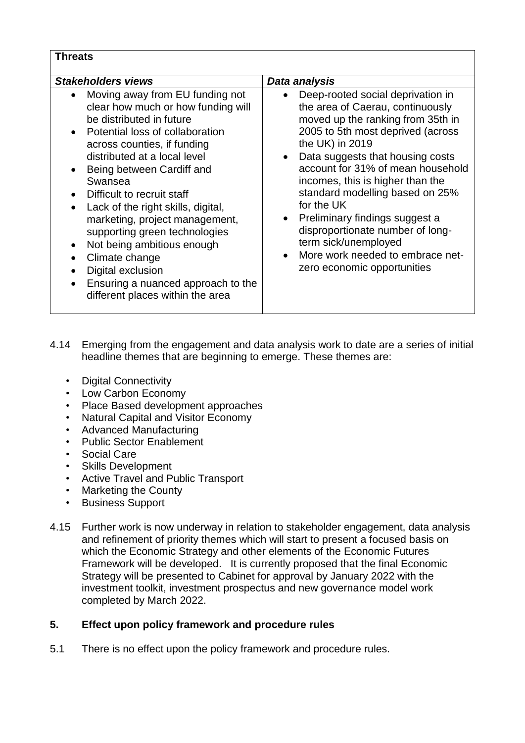#### **Threats**

| <b>Stakeholders views</b>                                                                                                                                                                                                                                                                                                                                                                                                                                                                                                                      | Data analysis                                                                                                                                                                                                                                                                                                                                                                                                                                                                                       |
|------------------------------------------------------------------------------------------------------------------------------------------------------------------------------------------------------------------------------------------------------------------------------------------------------------------------------------------------------------------------------------------------------------------------------------------------------------------------------------------------------------------------------------------------|-----------------------------------------------------------------------------------------------------------------------------------------------------------------------------------------------------------------------------------------------------------------------------------------------------------------------------------------------------------------------------------------------------------------------------------------------------------------------------------------------------|
| Moving away from EU funding not<br>clear how much or how funding will<br>be distributed in future<br>Potential loss of collaboration<br>across counties, if funding<br>distributed at a local level<br>Being between Cardiff and<br>Swansea<br>Difficult to recruit staff<br>Lack of the right skills, digital,<br>$\bullet$<br>marketing, project management,<br>supporting green technologies<br>Not being ambitious enough<br>Climate change<br>Digital exclusion<br>Ensuring a nuanced approach to the<br>different places within the area | Deep-rooted social deprivation in<br>the area of Caerau, continuously<br>moved up the ranking from 35th in<br>2005 to 5th most deprived (across<br>the UK) in 2019<br>Data suggests that housing costs<br>account for 31% of mean household<br>incomes, this is higher than the<br>standard modelling based on 25%<br>for the UK<br>• Preliminary findings suggest a<br>disproportionate number of long-<br>term sick/unemployed<br>More work needed to embrace net-<br>zero economic opportunities |

- 4.14 Emerging from the engagement and data analysis work to date are a series of initial headline themes that are beginning to emerge. These themes are:
	- Digital Connectivity
	- Low Carbon Economy
	- Place Based development approaches
	- Natural Capital and Visitor Economy
	- Advanced Manufacturing
	- Public Sector Enablement
	- Social Care
	- Skills Development
	- Active Travel and Public Transport
	- Marketing the County
	- Business Support
- 4.15 Further work is now underway in relation to stakeholder engagement, data analysis and refinement of priority themes which will start to present a focused basis on which the Economic Strategy and other elements of the Economic Futures Framework will be developed. It is currently proposed that the final Economic Strategy will be presented to Cabinet for approval by January 2022 with the investment toolkit, investment prospectus and new governance model work completed by March 2022.

### **5. Effect upon policy framework and procedure rules**

5.1 There is no effect upon the policy framework and procedure rules.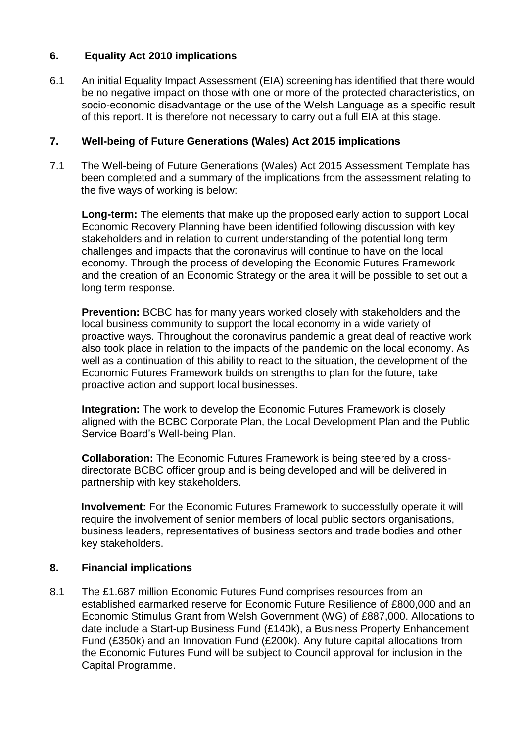# **6. Equality Act 2010 implications**

6.1 An initial Equality Impact Assessment (EIA) screening has identified that there would be no negative impact on those with one or more of the protected characteristics, on socio-economic disadvantage or the use of the Welsh Language as a specific result of this report. It is therefore not necessary to carry out a full EIA at this stage.

#### **7. Well-being of Future Generations (Wales) Act 2015 implications**

7.1 The Well-being of Future Generations (Wales) Act 2015 Assessment Template has been completed and a summary of the implications from the assessment relating to the five ways of working is below:

**Long-term:** The elements that make up the proposed early action to support Local Economic Recovery Planning have been identified following discussion with key stakeholders and in relation to current understanding of the potential long term challenges and impacts that the coronavirus will continue to have on the local economy. Through the process of developing the Economic Futures Framework and the creation of an Economic Strategy or the area it will be possible to set out a long term response.

**Prevention:** BCBC has for many years worked closely with stakeholders and the local business community to support the local economy in a wide variety of proactive ways. Throughout the coronavirus pandemic a great deal of reactive work also took place in relation to the impacts of the pandemic on the local economy. As well as a continuation of this ability to react to the situation, the development of the Economic Futures Framework builds on strengths to plan for the future, take proactive action and support local businesses.

**Integration:** The work to develop the Economic Futures Framework is closely aligned with the BCBC Corporate Plan, the Local Development Plan and the Public Service Board's Well-being Plan.

**Collaboration:** The Economic Futures Framework is being steered by a crossdirectorate BCBC officer group and is being developed and will be delivered in partnership with key stakeholders.

**Involvement:** For the Economic Futures Framework to successfully operate it will require the involvement of senior members of local public sectors organisations, business leaders, representatives of business sectors and trade bodies and other key stakeholders.

### **8. Financial implications**

8.1 The £1.687 million Economic Futures Fund comprises resources from an established earmarked reserve for Economic Future Resilience of £800,000 and an Economic Stimulus Grant from Welsh Government (WG) of £887,000. Allocations to date include a Start-up Business Fund (£140k), a Business Property Enhancement Fund (£350k) and an Innovation Fund (£200k). Any future capital allocations from the Economic Futures Fund will be subject to Council approval for inclusion in the Capital Programme.